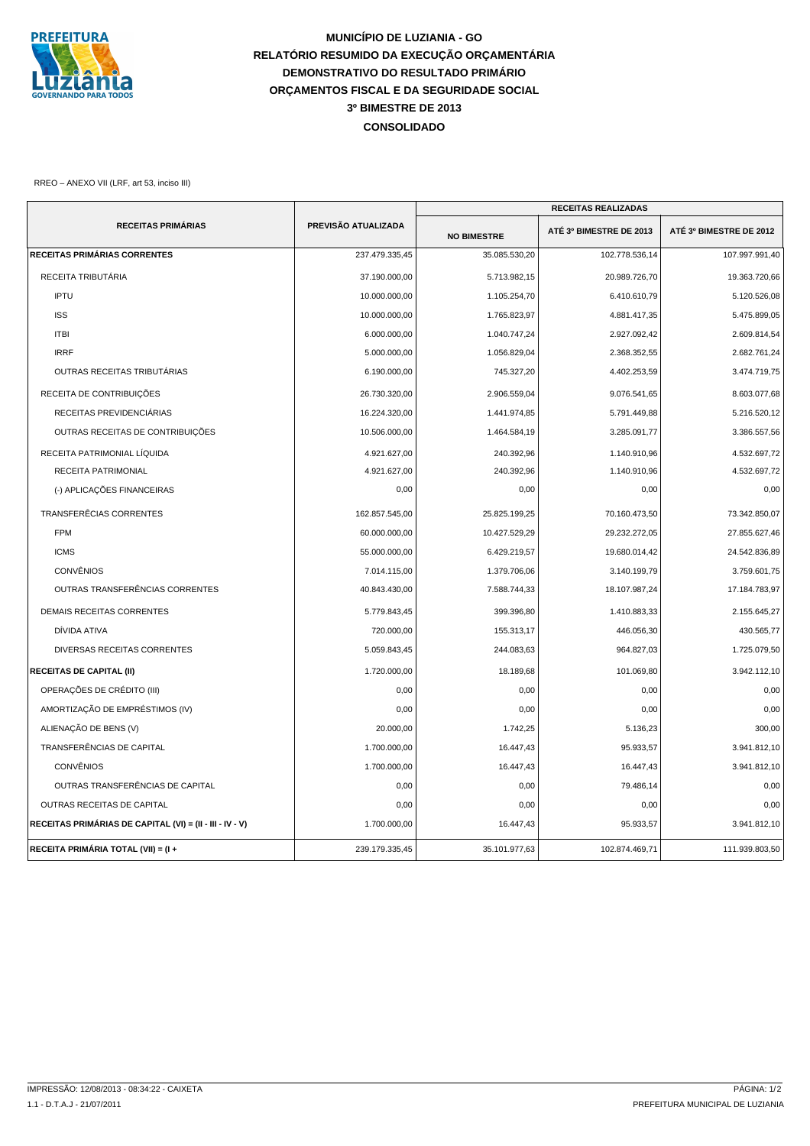

## **MUNICÍPIO DE LUZIANIA - GO RELATÓRIO RESUMIDO DA EXECUÇÃO ORÇAMENTÁRIA DEMONSTRATIVO DO RESULTADO PRIMÁRIO ORÇAMENTOS FISCAL E DA SEGURIDADE SOCIAL CONSOLIDADO 3º BIMESTRE DE 2013**

RREO – ANEXO VII (LRF, art 53, inciso III)

|                                                          |                     | <b>RECEITAS REALIZADAS</b> |                         |                         |
|----------------------------------------------------------|---------------------|----------------------------|-------------------------|-------------------------|
| <b>RECEITAS PRIMÁRIAS</b>                                | PREVISÃO ATUALIZADA | <b>NO BIMESTRE</b>         | ATÉ 3º BIMESTRE DE 2013 | ATÉ 3º BIMESTRE DE 2012 |
| <b>RECEITAS PRIMÁRIAS CORRENTES</b>                      | 237.479.335,45      | 35.085.530,20              | 102.778.536,14          | 107.997.991,40          |
| RECEITA TRIBUTÁRIA                                       | 37.190.000,00       | 5.713.982,15               | 20.989.726,70           | 19.363.720,66           |
| <b>IPTU</b>                                              | 10.000.000,00       | 1.105.254,70               | 6.410.610,79            | 5.120.526,08            |
| <b>ISS</b>                                               | 10.000.000,00       | 1.765.823,97               | 4.881.417,35            | 5.475.899,05            |
| <b>ITBI</b>                                              | 6.000.000,00        | 1.040.747,24               | 2.927.092,42            | 2.609.814,54            |
| <b>IRRF</b>                                              | 5.000.000,00        | 1.056.829,04               | 2.368.352,55            | 2.682.761,24            |
| OUTRAS RECEITAS TRIBUTÁRIAS                              | 6.190.000,00        | 745.327,20                 | 4.402.253,59            | 3.474.719,75            |
| RECEITA DE CONTRIBUIÇÕES                                 | 26.730.320,00       | 2.906.559,04               | 9.076.541,65            | 8.603.077,68            |
| RECEITAS PREVIDENCIÁRIAS                                 | 16.224.320,00       | 1.441.974,85               | 5.791.449,88            | 5.216.520,12            |
| OUTRAS RECEITAS DE CONTRIBUIÇÕES                         | 10.506.000,00       | 1.464.584,19               | 3.285.091,77            | 3.386.557,56            |
| RECEITA PATRIMONIAL LÍQUIDA                              | 4.921.627,00        | 240.392,96                 | 1.140.910,96            | 4.532.697,72            |
| RECEITA PATRIMONIAL                                      | 4.921.627,00        | 240.392,96                 | 1.140.910,96            | 4.532.697,72            |
| (-) APLICAÇÕES FINANCEIRAS                               | 0,00                | 0,00                       | 0,00                    | 0,00                    |
| TRANSFERÊCIAS CORRENTES                                  | 162.857.545,00      | 25.825.199,25              | 70.160.473,50           | 73.342.850,07           |
| <b>FPM</b>                                               | 60.000.000.00       | 10.427.529,29              | 29.232.272,05           | 27.855.627,46           |
| <b>ICMS</b>                                              | 55.000.000,00       | 6.429.219,57               | 19.680.014,42           | 24.542.836,89           |
| <b>CONVÊNIOS</b>                                         | 7.014.115,00        | 1.379.706,06               | 3.140.199,79            | 3.759.601,75            |
| OUTRAS TRANSFERÊNCIAS CORRENTES                          | 40.843.430,00       | 7.588.744,33               | 18.107.987,24           | 17.184.783,97           |
| <b>DEMAIS RECEITAS CORRENTES</b>                         | 5.779.843,45        | 399.396,80                 | 1.410.883,33            | 2.155.645,27            |
| DÍVIDA ATIVA                                             | 720.000.00          | 155.313,17                 | 446.056,30              | 430.565,77              |
| DIVERSAS RECEITAS CORRENTES                              | 5.059.843,45        | 244.083,63                 | 964.827,03              | 1.725.079,50            |
| <b>RECEITAS DE CAPITAL (II)</b>                          | 1.720.000,00        | 18.189,68                  | 101.069,80              | 3.942.112,10            |
| OPERAÇÕES DE CRÉDITO (III)                               | 0,00                | 0,00                       | 0,00                    | 0,00                    |
| AMORTIZAÇÃO DE EMPRÉSTIMOS (IV)                          | 0,00                | 0,00                       | 0,00                    | 0,00                    |
| ALIENAÇÃO DE BENS (V)                                    | 20.000,00           | 1.742,25                   | 5.136,23                | 300,00                  |
| TRANSFERÊNCIAS DE CAPITAL                                | 1.700.000,00        | 16.447,43                  | 95.933,57               | 3.941.812,10            |
| <b>CONVÊNIOS</b>                                         | 1.700.000,00        | 16.447,43                  | 16.447,43               | 3.941.812,10            |
| OUTRAS TRANSFERÊNCIAS DE CAPITAL                         | 0,00                | 0,00                       | 79.486,14               | 0,00                    |
| OUTRAS RECEITAS DE CAPITAL                               | 0,00                | 0,00                       | 0,00                    | 0,00                    |
| RECEITAS PRIMÁRIAS DE CAPITAL (VI) = (II - III - IV - V) | 1.700.000,00        | 16.447,43                  | 95.933,57               | 3.941.812,10            |
| RECEITA PRIMÁRIA TOTAL (VII) = (I +                      | 239.179.335,45      | 35.101.977,63              | 102.874.469,71          | 111.939.803,50          |